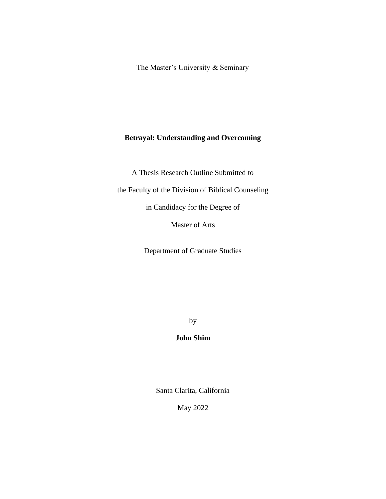The Master's University & Seminary

# **Betrayal: Understanding and Overcoming**

A Thesis Research Outline Submitted to

the Faculty of the Division of Biblical Counseling

in Candidacy for the Degree of

Master of Arts

Department of Graduate Studies

by

# **John Shim**

Santa Clarita, California

May 2022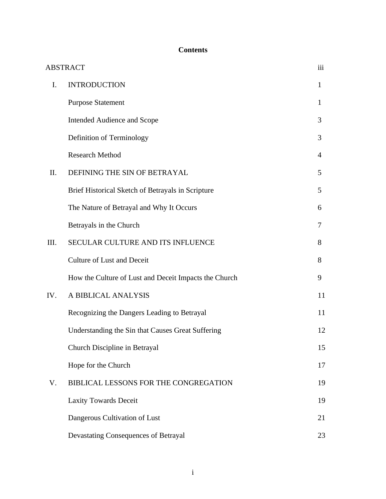# **Contents**

|      | <b>ABSTRACT</b>                                       | iii          |
|------|-------------------------------------------------------|--------------|
| I.   | <b>INTRODUCTION</b>                                   | $\mathbf{1}$ |
|      | <b>Purpose Statement</b>                              | $\mathbf{1}$ |
|      | Intended Audience and Scope                           | 3            |
|      | Definition of Terminology                             | 3            |
|      | <b>Research Method</b>                                | 4            |
| Π.   | DEFINING THE SIN OF BETRAYAL                          | 5            |
|      | Brief Historical Sketch of Betrayals in Scripture     | 5            |
|      | The Nature of Betrayal and Why It Occurs              | 6            |
|      | Betrayals in the Church                               | 7            |
| III. | SECULAR CULTURE AND ITS INFLUENCE                     | 8            |
|      | <b>Culture of Lust and Deceit</b>                     | 8            |
|      | How the Culture of Lust and Deceit Impacts the Church | 9            |
| IV.  | A BIBLICAL ANALYSIS                                   | 11           |
|      | Recognizing the Dangers Leading to Betrayal           | 11           |
|      | Understanding the Sin that Causes Great Suffering     | 12           |
|      | Church Discipline in Betrayal                         | 15           |
|      | Hope for the Church                                   | 17           |
| V.   | BIBLICAL LESSONS FOR THE CONGREGATION                 | 19           |
|      | <b>Laxity Towards Deceit</b>                          | 19           |
|      | Dangerous Cultivation of Lust                         | 21           |
|      | Devastating Consequences of Betrayal                  | 23           |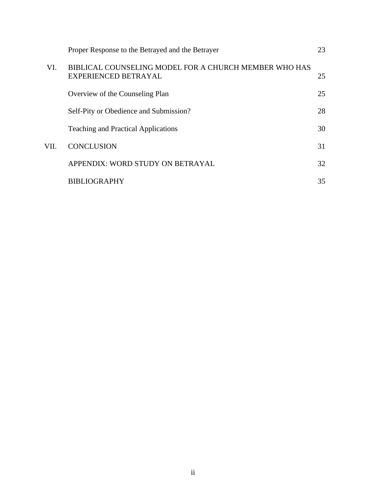|      | Proper Response to the Betrayed and the Betrayer                              | 23 |
|------|-------------------------------------------------------------------------------|----|
| VI.  | BIBLICAL COUNSELING MODEL FOR A CHURCH MEMBER WHO HAS<br>EXPERIENCED BETRAYAL | 25 |
|      | Overview of the Counseling Plan                                               | 25 |
|      | Self-Pity or Obedience and Submission?                                        | 28 |
|      | <b>Teaching and Practical Applications</b>                                    | 30 |
| VII. | <b>CONCLUSION</b>                                                             | 31 |
|      | APPENDIX: WORD STUDY ON BETRAYAL                                              | 32 |
|      | <b>BIBLIOGRAPHY</b>                                                           | 35 |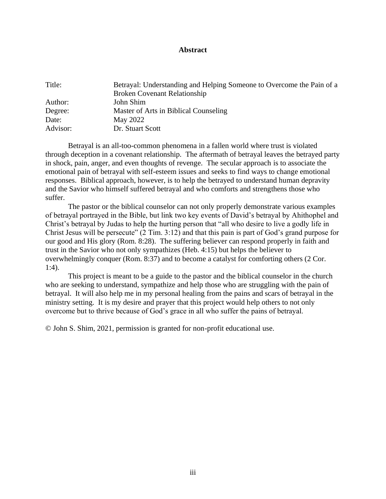#### **Abstract**

| Title:   | Betrayal: Understanding and Helping Someone to Overcome the Pain of a |
|----------|-----------------------------------------------------------------------|
|          | <b>Broken Covenant Relationship</b>                                   |
| Author:  | John Shim                                                             |
| Degree:  | Master of Arts in Biblical Counseling                                 |
| Date:    | May 2022                                                              |
| Advisor: | Dr. Stuart Scott                                                      |

Betrayal is an all-too-common phenomena in a fallen world where trust is violated through deception in a covenant relationship. The aftermath of betrayal leaves the betrayed party in shock, pain, anger, and even thoughts of revenge. The secular approach is to associate the emotional pain of betrayal with self-esteem issues and seeks to find ways to change emotional responses. Biblical approach, however, is to help the betrayed to understand human depravity and the Savior who himself suffered betrayal and who comforts and strengthens those who suffer.

The pastor or the biblical counselor can not only properly demonstrate various examples of betrayal portrayed in the Bible, but link two key events of David's betrayal by Ahithophel and Christ's betrayal by Judas to help the hurting person that "all who desire to live a godly life in Christ Jesus will be persecute" (2 Tim. 3:12) and that this pain is part of God's grand purpose for our good and His glory (Rom. 8:28). The suffering believer can respond properly in faith and trust in the Savior who not only sympathizes (Heb. 4:15) but helps the believer to overwhelmingly conquer (Rom. 8:37) and to become a catalyst for comforting others (2 Cor. 1:4).

This project is meant to be a guide to the pastor and the biblical counselor in the church who are seeking to understand, sympathize and help those who are struggling with the pain of betrayal. It will also help me in my personal healing from the pains and scars of betrayal in the ministry setting. It is my desire and prayer that this project would help others to not only overcome but to thrive because of God's grace in all who suffer the pains of betrayal.

© John S. Shim, 2021, permission is granted for non-profit educational use.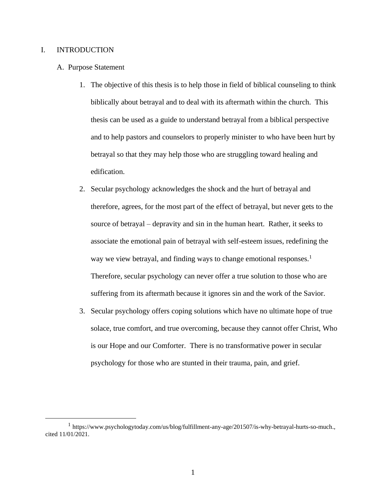# I. INTRODUCTION

- A. Purpose Statement
	- 1. The objective of this thesis is to help those in field of biblical counseling to think biblically about betrayal and to deal with its aftermath within the church. This thesis can be used as a guide to understand betrayal from a biblical perspective and to help pastors and counselors to properly minister to who have been hurt by betrayal so that they may help those who are struggling toward healing and edification.
	- 2. Secular psychology acknowledges the shock and the hurt of betrayal and therefore, agrees, for the most part of the effect of betrayal, but never gets to the source of betrayal – depravity and sin in the human heart. Rather, it seeks to associate the emotional pain of betrayal with self-esteem issues, redefining the way we view betrayal, and finding ways to change emotional responses.<sup>1</sup> Therefore, secular psychology can never offer a true solution to those who are suffering from its aftermath because it ignores sin and the work of the Savior.
	- 3. Secular psychology offers coping solutions which have no ultimate hope of true solace, true comfort, and true overcoming, because they cannot offer Christ, Who is our Hope and our Comforter. There is no transformative power in secular psychology for those who are stunted in their trauma, pain, and grief.

<sup>&</sup>lt;sup>1</sup> https://www.psychologytoday.com/us/blog/fulfillment-any-age/201507/is-why-betrayal-hurts-so-much., cited 11/01/2021.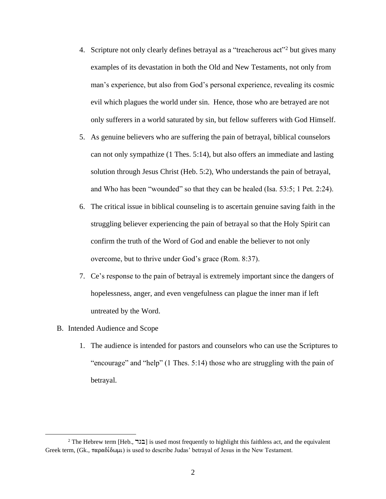- 4. Scripture not only clearly defines betrayal as a "treacherous act"<sup>2</sup> but gives many examples of its devastation in both the Old and New Testaments, not only from man's experience, but also from God's personal experience, revealing its cosmic evil which plagues the world under sin. Hence, those who are betrayed are not only sufferers in a world saturated by sin, but fellow sufferers with God Himself.
- 5. As genuine believers who are suffering the pain of betrayal, biblical counselors can not only sympathize (1 Thes. 5:14), but also offers an immediate and lasting solution through Jesus Christ (Heb. 5:2), Who understands the pain of betrayal, and Who has been "wounded" so that they can be healed (Isa. 53:5; 1 Pet. 2:24).
- 6. The critical issue in biblical counseling is to ascertain genuine saving faith in the struggling believer experiencing the pain of betrayal so that the Holy Spirit can confirm the truth of the Word of God and enable the believer to not only overcome, but to thrive under God's grace (Rom. 8:37).
- 7. Ce's response to the pain of betrayal is extremely important since the dangers of hopelessness, anger, and even vengefulness can plague the inner man if left untreated by the Word.
- B. Intended Audience and Scope
	- 1. The audience is intended for pastors and counselors who can use the Scriptures to "encourage" and "help" (1 Thes. 5:14) those who are struggling with the pain of betrayal.

<sup>&</sup>lt;sup>2</sup> The Hebrew term [Heb., בגד] is used most frequently to highlight this faithless act, and the equivalent Greek term,  $(Gk, \pi \alpha \rho \alpha \delta \delta \omega \mu)$  is used to describe Judas' betrayal of Jesus in the New Testament.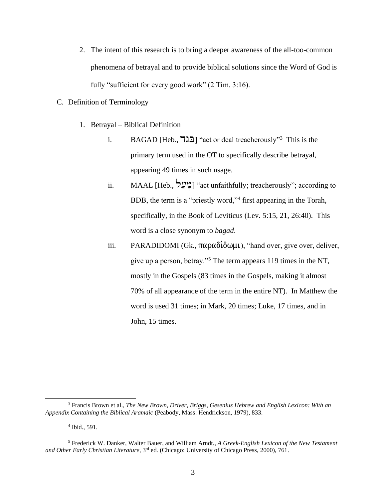- 2. The intent of this research is to bring a deeper awareness of the all-too-common phenomena of betrayal and to provide biblical solutions since the Word of God is fully "sufficient for every good work" (2 Tim. 3:16).
- C. Definition of Terminology
	- 1. Betrayal Biblical Definition
		- i. BAGAD [Heb.,  $\exists \exists$ ] "act or deal treacherously"<sup>3</sup> This is the primary term used in the OT to specifically describe betrayal, appearing 49 times in such usage.
		- ii. MAAL [Heb.,  $\sum$ ] "act unfaithfully; treacherously"; according to BDB, the term is a "priestly word,"<sup>4</sup> first appearing in the Torah, specifically, in the Book of Leviticus (Lev. 5:15, 21, 26:40). This word is a close synonym to *bagad*.
		- iii. PARADIDOMI (Gk.,  $\pi \alpha \rho \alpha \delta(\delta \omega \mu \nu)$ , "hand over, give over, deliver, give up a person, betray."<sup>5</sup> The term appears 119 times in the NT, mostly in the Gospels (83 times in the Gospels, making it almost 70% of all appearance of the term in the entire NT). In Matthew the word is used 31 times; in Mark, 20 times; Luke, 17 times, and in John, 15 times.

<sup>3</sup> Francis Brown et al., *The New Brown, Driver, Briggs, Gesenius Hebrew and English Lexicon: With an Appendix Containing the Biblical Aramaic* (Peabody, Mass: Hendrickson, 1979), 833.

<sup>4</sup> Ibid., 591.

<sup>5</sup> Frederick W. Danker, Walter Bauer, and William Arndt., *A Greek-English Lexicon of the New Testament and Other Early Christian Literature,* 3 rd ed*.* (Chicago: University of Chicago Press, 2000), 761.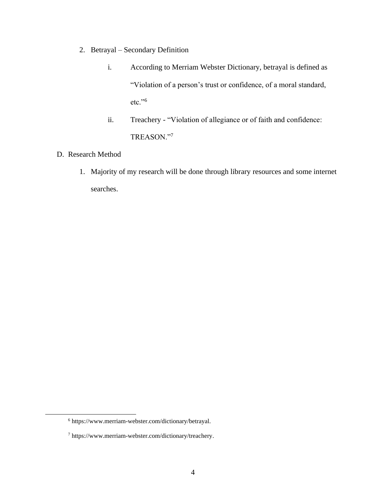- 2. Betrayal Secondary Definition
	- i. According to Merriam Webster Dictionary, betrayal is defined as "Violation of a person's trust or confidence, of a moral standard, etc."<sup>6</sup>
	- ii. Treachery "Violation of allegiance or of faith and confidence: TREASON."<sup>7</sup>
- D. Research Method
	- 1. Majority of my research will be done through library resources and some internet searches.

<sup>6</sup> https://www.merriam-webster.com/dictionary/betrayal.

 $^7$ https://www.merriam-webster.com/dictionary/treachery.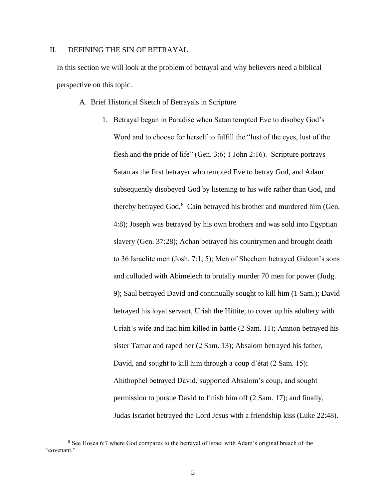# II. DEFINING THE SIN OF BETRAYAL

In this section we will look at the problem of betrayal and why believers need a biblical perspective on this topic.

A. Brief Historical Sketch of Betrayals in Scripture

1. Betrayal began in Paradise when Satan tempted Eve to disobey God's Word and to choose for herself to fulfill the "lust of the eyes, lust of the flesh and the pride of life" (Gen. 3:6; 1 John 2:16). Scripture portrays Satan as the first betrayer who tempted Eve to betray God, and Adam subsequently disobeyed God by listening to his wife rather than God, and thereby betrayed God.<sup>8</sup> Cain betrayed his brother and murdered him (Gen. 4:8); Joseph was betrayed by his own brothers and was sold into Egyptian slavery (Gen. 37:28); Achan betrayed his countrymen and brought death to 36 Israelite men (Josh. 7:1, 5); Men of Shechem betrayed Gideon's sons and colluded with Abimelech to brutally murder 70 men for power (Judg. 9); Saul betrayed David and continually sought to kill him (1 Sam.); David betrayed his loyal servant, Uriah the Hittite, to cover up his adultery with Uriah's wife and had him killed in battle (2 Sam. 11); Amnon betrayed his sister Tamar and raped her (2 Sam. 13); Absalom betrayed his father, David, and sought to kill him through a coup d'état (2 Sam. 15); Ahithophel betrayed David, supported Absalom's coup, and sought permission to pursue David to finish him off (2 Sam. 17); and finally, Judas Iscariot betrayed the Lord Jesus with a friendship kiss (Luke 22:48).

<sup>8</sup> See Hosea 6:7 where God compares to the betrayal of Israel with Adam's original breach of the "covenant."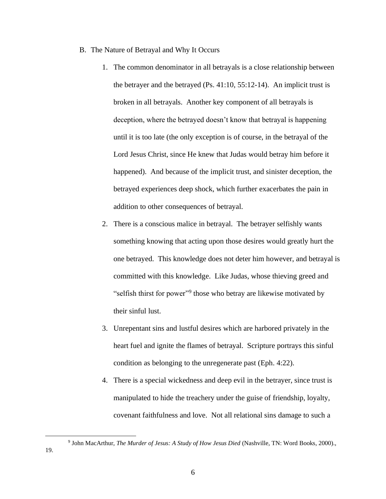- B. The Nature of Betrayal and Why It Occurs
	- 1. The common denominator in all betrayals is a close relationship between the betrayer and the betrayed (Ps. 41:10, 55:12-14). An implicit trust is broken in all betrayals. Another key component of all betrayals is deception, where the betrayed doesn't know that betrayal is happening until it is too late (the only exception is of course, in the betrayal of the Lord Jesus Christ, since He knew that Judas would betray him before it happened). And because of the implicit trust, and sinister deception, the betrayed experiences deep shock, which further exacerbates the pain in addition to other consequences of betrayal.
	- 2. There is a conscious malice in betrayal. The betrayer selfishly wants something knowing that acting upon those desires would greatly hurt the one betrayed. This knowledge does not deter him however, and betrayal is committed with this knowledge. Like Judas, whose thieving greed and "selfish thirst for power"<sup>9</sup> those who betray are likewise motivated by their sinful lust.
	- 3. Unrepentant sins and lustful desires which are harbored privately in the heart fuel and ignite the flames of betrayal. Scripture portrays this sinful condition as belonging to the unregenerate past (Eph. 4:22).
	- 4. There is a special wickedness and deep evil in the betrayer, since trust is manipulated to hide the treachery under the guise of friendship, loyalty, covenant faithfulness and love. Not all relational sins damage to such a

<sup>9</sup> John MacArthur, *The Murder of Jesus: A Study of How Jesus Died* (Nashville, TN: Word Books, 2000).,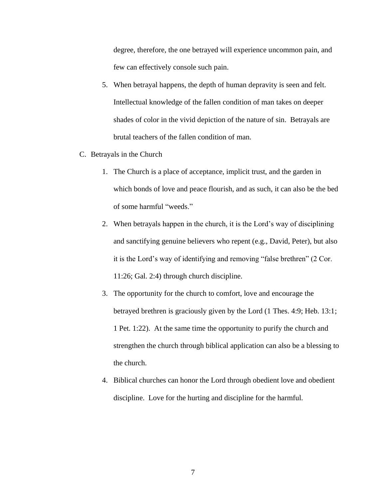degree, therefore, the one betrayed will experience uncommon pain, and few can effectively console such pain.

- 5. When betrayal happens, the depth of human depravity is seen and felt. Intellectual knowledge of the fallen condition of man takes on deeper shades of color in the vivid depiction of the nature of sin. Betrayals are brutal teachers of the fallen condition of man.
- C. Betrayals in the Church
	- 1. The Church is a place of acceptance, implicit trust, and the garden in which bonds of love and peace flourish, and as such, it can also be the bed of some harmful "weeds."
	- 2. When betrayals happen in the church, it is the Lord's way of disciplining and sanctifying genuine believers who repent (e.g., David, Peter), but also it is the Lord's way of identifying and removing "false brethren" (2 Cor. 11:26; Gal. 2:4) through church discipline.
	- 3. The opportunity for the church to comfort, love and encourage the betrayed brethren is graciously given by the Lord (1 Thes. 4:9; Heb. 13:1; 1 Pet. 1:22). At the same time the opportunity to purify the church and strengthen the church through biblical application can also be a blessing to the church.
	- 4. Biblical churches can honor the Lord through obedient love and obedient discipline. Love for the hurting and discipline for the harmful.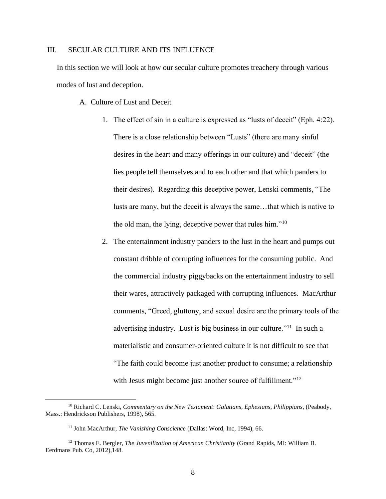#### III. SECULAR CULTURE AND ITS INFLUENCE

In this section we will look at how our secular culture promotes treachery through various modes of lust and deception.

A. Culture of Lust and Deceit

- 1. The effect of sin in a culture is expressed as "lusts of deceit" (Eph. 4:22). There is a close relationship between "Lusts" (there are many sinful desires in the heart and many offerings in our culture) and "deceit" (the lies people tell themselves and to each other and that which panders to their desires). Regarding this deceptive power, Lenski comments, "The lusts are many, but the deceit is always the same…that which is native to the old man, the lying, deceptive power that rules him."<sup>10</sup>
- 2. The entertainment industry panders to the lust in the heart and pumps out constant dribble of corrupting influences for the consuming public. And the commercial industry piggybacks on the entertainment industry to sell their wares, attractively packaged with corrupting influences. MacArthur comments, "Greed, gluttony, and sexual desire are the primary tools of the advertising industry. Lust is big business in our culture."<sup>11</sup> In such a materialistic and consumer-oriented culture it is not difficult to see that "The faith could become just another product to consume; a relationship with Jesus might become just another source of fulfillment."<sup>12</sup>

<sup>10</sup> Richard C. Lenski, *Commentary on the New Testament*: *Galatians, Ephesians, Philippians*, (Peabody, Mass.: Hendrickson Publishers, 1998), 565.

<sup>11</sup> John MacArthur, *The Vanishing Conscience* (Dallas: Word, Inc, 1994), 66.

<sup>12</sup> Thomas E. Bergler, *The Juvenilization of American Christianity* (Grand Rapids, MI: William B. Eerdmans Pub. Co, 2012),148.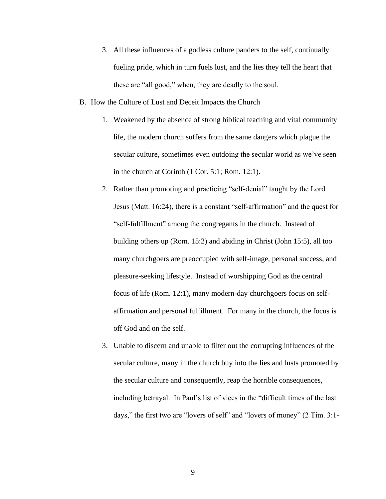- 3. All these influences of a godless culture panders to the self, continually fueling pride, which in turn fuels lust, and the lies they tell the heart that these are "all good," when, they are deadly to the soul.
- B. How the Culture of Lust and Deceit Impacts the Church
	- 1. Weakened by the absence of strong biblical teaching and vital community life, the modern church suffers from the same dangers which plague the secular culture, sometimes even outdoing the secular world as we've seen in the church at Corinth (1 Cor. 5:1; Rom. 12:1).
	- 2. Rather than promoting and practicing "self-denial" taught by the Lord Jesus (Matt. 16:24), there is a constant "self-affirmation" and the quest for "self-fulfillment" among the congregants in the church. Instead of building others up (Rom. 15:2) and abiding in Christ (John 15:5), all too many churchgoers are preoccupied with self-image, personal success, and pleasure-seeking lifestyle. Instead of worshipping God as the central focus of life (Rom. 12:1), many modern-day churchgoers focus on selfaffirmation and personal fulfillment. For many in the church, the focus is off God and on the self.
	- 3. Unable to discern and unable to filter out the corrupting influences of the secular culture, many in the church buy into the lies and lusts promoted by the secular culture and consequently, reap the horrible consequences, including betrayal. In Paul's list of vices in the "difficult times of the last days," the first two are "lovers of self" and "lovers of money" (2 Tim. 3:1-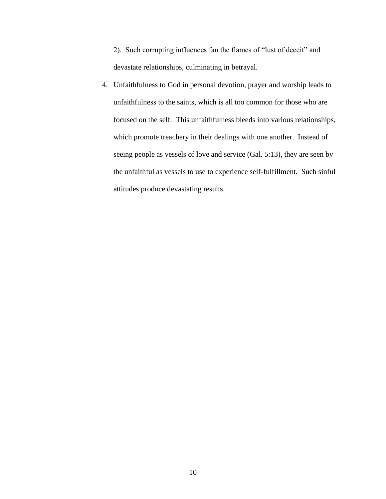2). Such corrupting influences fan the flames of "lust of deceit" and devastate relationships, culminating in betrayal.

4. Unfaithfulness to God in personal devotion, prayer and worship leads to unfaithfulness to the saints, which is all too common for those who are focused on the self. This unfaithfulness bleeds into various relationships, which promote treachery in their dealings with one another. Instead of seeing people as vessels of love and service (Gal. 5:13), they are seen by the unfaithful as vessels to use to experience self-fulfillment. Such sinful attitudes produce devastating results.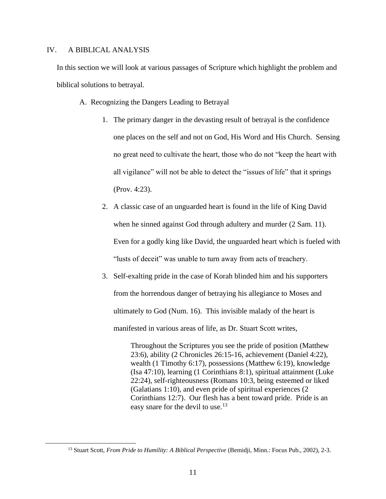### IV. A BIBLICAL ANALYSIS

In this section we will look at various passages of Scripture which highlight the problem and biblical solutions to betrayal.

- A. Recognizing the Dangers Leading to Betrayal
	- 1. The primary danger in the devasting result of betrayal is the confidence one places on the self and not on God, His Word and His Church. Sensing no great need to cultivate the heart, those who do not "keep the heart with all vigilance" will not be able to detect the "issues of life" that it springs (Prov. 4:23).
	- 2. A classic case of an unguarded heart is found in the life of King David when he sinned against God through adultery and murder (2 Sam. 11). Even for a godly king like David, the unguarded heart which is fueled with "lusts of deceit" was unable to turn away from acts of treachery.
	- 3. Self-exalting pride in the case of Korah blinded him and his supporters from the horrendous danger of betraying his allegiance to Moses and ultimately to God (Num. 16). This invisible malady of the heart is manifested in various areas of life, as Dr. Stuart Scott writes,

Throughout the Scriptures you see the pride of position (Matthew 23:6), ability (2 Chronicles 26:15-16, achievement (Daniel 4:22), wealth (1 Timothy 6:17), possessions (Matthew 6:19), knowledge (Isa 47:10), learning (1 Corinthians 8:1), spiritual attainment (Luke 22:24), self-righteousness (Romans 10:3, being esteemed or liked (Galatians 1:10), and even pride of spiritual experiences (2 Corinthians 12:7). Our flesh has a bent toward pride. Pride is an easy snare for the devil to use.<sup>13</sup>

<sup>13</sup> Stuart Scott, *From Pride to Humility: A Biblical Perspective* (Bemidji, Minn.: Focus Pub., 2002), 2-3.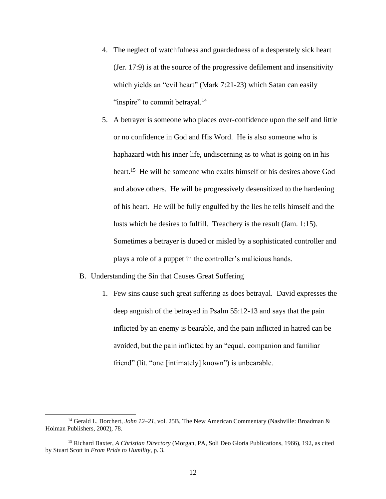- 4. The neglect of watchfulness and guardedness of a desperately sick heart (Jer. 17:9) is at the source of the progressive defilement and insensitivity which yields an "evil heart" (Mark 7:21-23) which Satan can easily "inspire" to commit betrayal.<sup>14</sup>
- 5. A betrayer is someone who places over-confidence upon the self and little or no confidence in God and His Word. He is also someone who is haphazard with his inner life, undiscerning as to what is going on in his heart.<sup>15</sup> He will be someone who exalts himself or his desires above God and above others. He will be progressively desensitized to the hardening of his heart. He will be fully engulfed by the lies he tells himself and the lusts which he desires to fulfill. Treachery is the result (Jam. 1:15). Sometimes a betrayer is duped or misled by a sophisticated controller and plays a role of a puppet in the controller's malicious hands.
- B. Understanding the Sin that Causes Great Suffering
	- 1. Few sins cause such great suffering as does betrayal. David expresses the deep anguish of the betrayed in Psalm 55:12-13 and says that the pain inflicted by an enemy is bearable, and the pain inflicted in hatred can be avoided, but the pain inflicted by an "equal, companion and familiar friend" (lit. "one [intimately] known") is unbearable.

<sup>14</sup> Gerald L. Borchert, *John 12–21*, vol. 25B, The New American Commentary (Nashville: Broadman & Holman Publishers, 2002), 78.

<sup>15</sup> Richard Baxter, *A Christian Directory* (Morgan, PA, Soli Deo Gloria Publications, 1966), 192, as cited by Stuart Scott in *From Pride to Humility*, p. 3.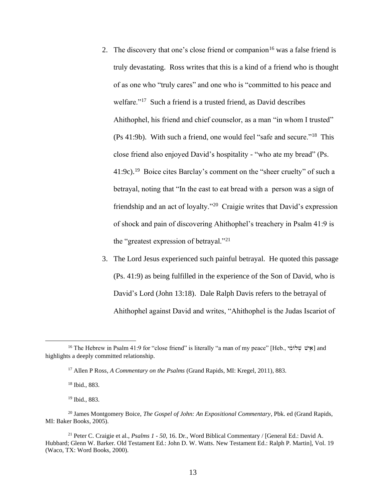- 2. The discovery that one's close friend or companion<sup>16</sup> was a false friend is truly devastating. Ross writes that this is a kind of a friend who is thought of as one who "truly cares" and one who is "committed to his peace and welfare."<sup>17</sup> Such a friend is a trusted friend, as David describes Ahithophel, his friend and chief counselor, as a man "in whom I trusted" (Ps 41:9b). With such a friend, one would feel "safe and secure."<sup>18</sup> This close friend also enjoyed David's hospitality - "who ate my bread" (Ps. 41:9c).<sup>19</sup> Boice cites Barclay's comment on the "sheer cruelty" of such a betrayal, noting that "In the east to eat bread with a person was a sign of friendship and an act of loyalty."<sup>20</sup> Craigie writes that David's expression of shock and pain of discovering Ahithophel's treachery in Psalm 41:9 is the "greatest expression of betrayal."<sup>21</sup>
- 3. The Lord Jesus experienced such painful betrayal. He quoted this passage (Ps. 41:9) as being fulfilled in the experience of the Son of David, who is David's Lord (John 13:18). Dale Ralph Davis refers to the betrayal of Ahithophel against David and writes, "Ahithophel is the Judas Iscariot of

<sup>&</sup>lt;sup>16</sup> The Hebrew in Psalm 41:9 for "close friend" is literally "a man of my peace" [Heb., אישׁ שֹלוֹמִי) and highlights a deeply committed relationship.

<sup>17</sup> Allen P Ross, *A Commentary on the Psalms* (Grand Rapids, MI: Kregel, 2011), 883.

<sup>18</sup> Ibid., 883.

<sup>19</sup> Ibid., 883.

<sup>20</sup> James Montgomery Boice, *The Gospel of John: An Expositional Commentary*, Pbk. ed (Grand Rapids, MI: Baker Books, 2005).

<sup>21</sup> Peter C. Craigie et al., *Psalms 1 - 50*, 16. Dr., Word Biblical Commentary / [General Ed.: David A. Hubbard; Glenn W. Barker. Old Testament Ed.: John D. W. Watts. New Testament Ed.: Ralph P. Martin], Vol. 19 (Waco, TX: Word Books, 2000).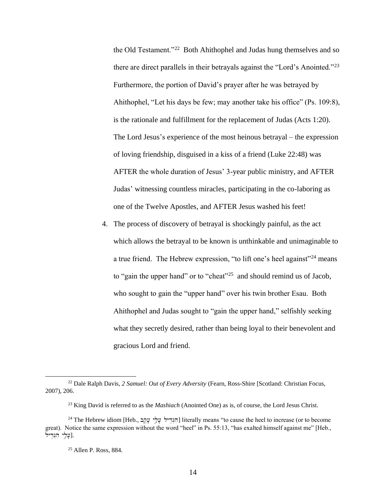the Old Testament."<sup>22</sup> Both Ahithophel and Judas hung themselves and so there are direct parallels in their betrayals against the "Lord's Anointed."<sup>23</sup> Furthermore, the portion of David's prayer after he was betrayed by Ahithophel, "Let his days be few; may another take his office" (Ps. 109:8), is the rationale and fulfillment for the replacement of Judas (Acts 1:20). The Lord Jesus's experience of the most heinous betrayal – the expression of loving friendship, disguised in a kiss of a friend (Luke 22:48) was AFTER the whole duration of Jesus' 3-year public ministry, and AFTER Judas' witnessing countless miracles, participating in the co-laboring as one of the Twelve Apostles, and AFTER Jesus washed his feet!

4. The process of discovery of betrayal is shockingly painful, as the act which allows the betrayal to be known is unthinkable and unimaginable to a true friend. The Hebrew expression, "to lift one's heel against"<sup>24</sup> means to "gain the upper hand" or to "cheat"<sup>25</sup> and should remind us of Jacob, who sought to gain the "upper hand" over his twin brother Esau. Both Ahithophel and Judas sought to "gain the upper hand," selfishly seeking what they secretly desired, rather than being loyal to their benevolent and gracious Lord and friend.

<sup>22</sup> Dale Ralph Davis, *2 Samuel: Out of Every Adversity* (Fearn, Ross-Shire [Scotland: Christian Focus, 2007), 206.

<sup>23</sup> King David is referred to as the *Mashiach* (Anointed One) as is, of course, the Lord Jesus Christ.

<sup>&</sup>lt;sup>24</sup> The Hebrew idiom [Heb., פְלֵי עָלֵי עָלֵי (hterally means "to cause the heel to increase (or to become great). Notice the same expression without the word "heel" in Ps. 55:13, "has exalted himself against me" [Heb.,  $\bar{\zeta}$ עַלֵי הִגְדֵיל].

<sup>25</sup> Allen P. Ross, 884.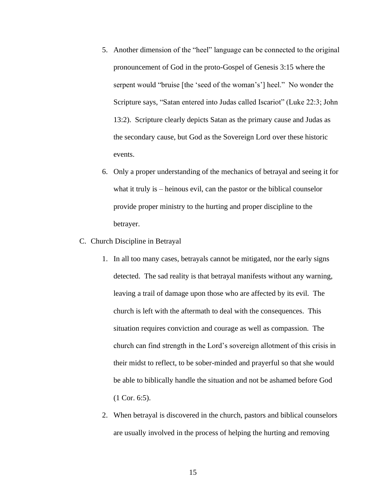- 5. Another dimension of the "heel" language can be connected to the original pronouncement of God in the proto-Gospel of Genesis 3:15 where the serpent would "bruise [the 'seed of the woman's'] heel." No wonder the Scripture says, "Satan entered into Judas called Iscariot" (Luke 22:3; John 13:2). Scripture clearly depicts Satan as the primary cause and Judas as the secondary cause, but God as the Sovereign Lord over these historic events.
- 6. Only a proper understanding of the mechanics of betrayal and seeing it for what it truly is – heinous evil, can the pastor or the biblical counselor provide proper ministry to the hurting and proper discipline to the betrayer.
- C. Church Discipline in Betrayal
	- 1. In all too many cases, betrayals cannot be mitigated, nor the early signs detected. The sad reality is that betrayal manifests without any warning, leaving a trail of damage upon those who are affected by its evil. The church is left with the aftermath to deal with the consequences. This situation requires conviction and courage as well as compassion. The church can find strength in the Lord's sovereign allotment of this crisis in their midst to reflect, to be sober-minded and prayerful so that she would be able to biblically handle the situation and not be ashamed before God (1 Cor. 6:5).
	- 2. When betrayal is discovered in the church, pastors and biblical counselors are usually involved in the process of helping the hurting and removing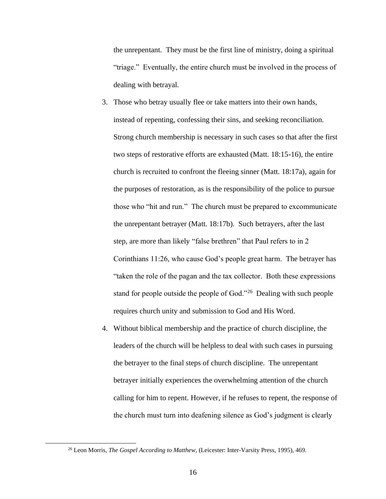the unrepentant. They must be the first line of ministry, doing a spiritual "triage." Eventually, the entire church must be involved in the process of dealing with betrayal.

- 3. Those who betray usually flee or take matters into their own hands, instead of repenting, confessing their sins, and seeking reconciliation. Strong church membership is necessary in such cases so that after the first two steps of restorative efforts are exhausted (Matt. 18:15-16), the entire church is recruited to confront the fleeing sinner (Matt. 18:17a), again for the purposes of restoration, as is the responsibility of the police to pursue those who "hit and run." The church must be prepared to excommunicate the unrepentant betrayer (Matt. 18:17b). Such betrayers, after the last step, are more than likely "false brethren" that Paul refers to in 2 Corinthians 11:26, who cause God's people great harm. The betrayer has "taken the role of the pagan and the tax collector. Both these expressions stand for people outside the people of God."<sup>26</sup> Dealing with such people requires church unity and submission to God and His Word.
- 4. Without biblical membership and the practice of church discipline, the leaders of the church will be helpless to deal with such cases in pursuing the betrayer to the final steps of church discipline. The unrepentant betrayer initially experiences the overwhelming attention of the church calling for him to repent. However, if he refuses to repent, the response of the church must turn into deafening silence as God's judgment is clearly

<sup>26</sup> Leon Morris, *The Gospel According to Matthew*, (Leicester: Inter-Varsity Press, 1995), 469.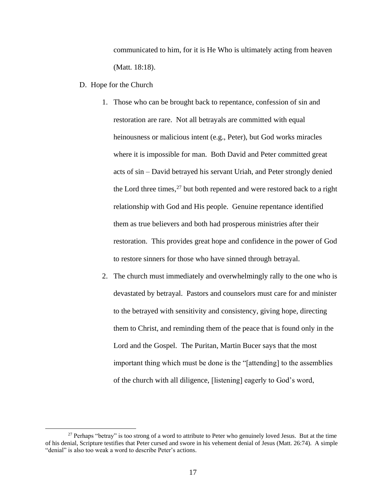communicated to him, for it is He Who is ultimately acting from heaven (Matt. 18:18).

- D. Hope for the Church
	- 1. Those who can be brought back to repentance, confession of sin and restoration are rare. Not all betrayals are committed with equal heinousness or malicious intent (e.g., Peter), but God works miracles where it is impossible for man. Both David and Peter committed great acts of sin – David betrayed his servant Uriah, and Peter strongly denied the Lord three times,<sup>27</sup> but both repented and were restored back to a right relationship with God and His people. Genuine repentance identified them as true believers and both had prosperous ministries after their restoration. This provides great hope and confidence in the power of God to restore sinners for those who have sinned through betrayal.
	- 2. The church must immediately and overwhelmingly rally to the one who is devastated by betrayal. Pastors and counselors must care for and minister to the betrayed with sensitivity and consistency, giving hope, directing them to Christ, and reminding them of the peace that is found only in the Lord and the Gospel. The Puritan, Martin Bucer says that the most important thing which must be done is the "[attending] to the assemblies of the church with all diligence, [listening] eagerly to God's word,

<sup>&</sup>lt;sup>27</sup> Perhaps "betray" is too strong of a word to attribute to Peter who genuinely loved Jesus. But at the time of his denial, Scripture testifies that Peter cursed and swore in his vehement denial of Jesus (Matt. 26:74). A simple "denial" is also too weak a word to describe Peter's actions.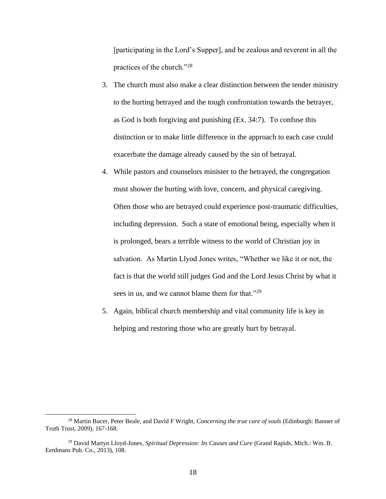[participating in the Lord's Supper], and be zealous and reverent in all the practices of the church."<sup>28</sup>

- 3. The church must also make a clear distinction between the tender ministry to the hurting betrayed and the tough confrontation towards the betrayer, as God is both forgiving and punishing (Ex. 34:7). To confuse this distinction or to make little difference in the approach to each case could exacerbate the damage already caused by the sin of betrayal.
- 4. While pastors and counselors minister to the betrayed, the congregation must shower the hurting with love, concern, and physical caregiving. Often those who are betrayed could experience post-traumatic difficulties, including depression. Such a state of emotional being, especially when it is prolonged, bears a terrible witness to the world of Christian joy in salvation. As Martin Llyod Jones writes, "Whether we like it or not, the fact is that the world still judges God and the Lord Jesus Christ by what it sees in us, and we cannot blame them for that."<sup>29</sup>
- 5. Again, biblical church membership and vital community life is key in helping and restoring those who are greatly hurt by betrayal.

<sup>28</sup> Martin Bucer, Peter Beale, and David F Wright, *Concerning the true care of souls* (Edinburgh: Banner of Truth Trust, 2009), 167-168.

<sup>29</sup> David Martyn Lloyd-Jones, *Spiritual Depression: Its Causes and Cure* (Grand Rapids, Mich.: Wm. B. Eerdmans Pub. Co., 2013), 108.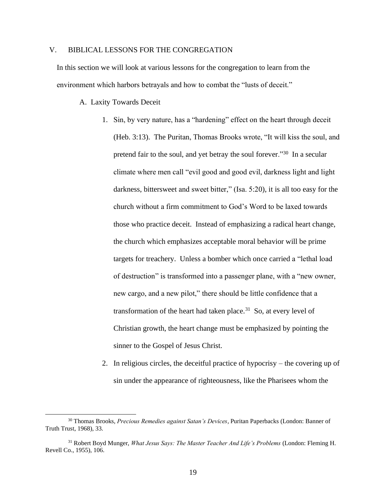## V. BIBLICAL LESSONS FOR THE CONGREGATION

In this section we will look at various lessons for the congregation to learn from the environment which harbors betrayals and how to combat the "lusts of deceit."

A. Laxity Towards Deceit

- 1. Sin, by very nature, has a "hardening" effect on the heart through deceit (Heb. 3:13). The Puritan, Thomas Brooks wrote, "It will kiss the soul, and pretend fair to the soul, and yet betray the soul forever."<sup>30</sup> In a secular climate where men call "evil good and good evil, darkness light and light darkness, bittersweet and sweet bitter," (Isa. 5:20), it is all too easy for the church without a firm commitment to God's Word to be laxed towards those who practice deceit. Instead of emphasizing a radical heart change, the church which emphasizes acceptable moral behavior will be prime targets for treachery. Unless a bomber which once carried a "lethal load of destruction" is transformed into a passenger plane, with a "new owner, new cargo, and a new pilot," there should be little confidence that a transformation of the heart had taken place. $31$  So, at every level of Christian growth, the heart change must be emphasized by pointing the sinner to the Gospel of Jesus Christ.
- 2. In religious circles, the deceitful practice of hypocrisy the covering up of sin under the appearance of righteousness, like the Pharisees whom the

<sup>30</sup> Thomas Brooks, *Precious Remedies against Satan's Devices*, Puritan Paperbacks (London: Banner of Truth Trust, 1968), 33.

<sup>31</sup> Robert Boyd Munger, *What Jesus Says: The Master Teacher And Life's Problems* (London: Fleming H. Revell Co., 1955), 106.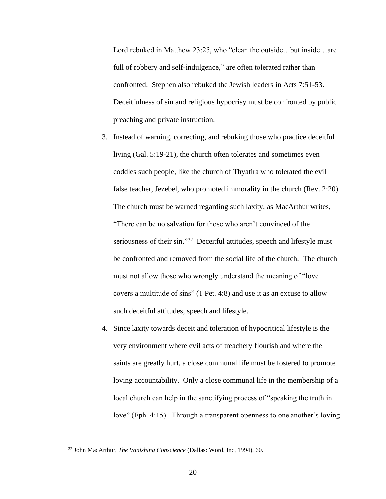Lord rebuked in Matthew 23:25, who "clean the outside...but inside...are full of robbery and self-indulgence," are often tolerated rather than confronted. Stephen also rebuked the Jewish leaders in Acts 7:51-53. Deceitfulness of sin and religious hypocrisy must be confronted by public preaching and private instruction.

- 3. Instead of warning, correcting, and rebuking those who practice deceitful living (Gal. 5:19-21), the church often tolerates and sometimes even coddles such people, like the church of Thyatira who tolerated the evil false teacher, Jezebel, who promoted immorality in the church (Rev. 2:20). The church must be warned regarding such laxity, as MacArthur writes, "There can be no salvation for those who aren't convinced of the seriousness of their sin."<sup>32</sup> Deceitful attitudes, speech and lifestyle must be confronted and removed from the social life of the church. The church must not allow those who wrongly understand the meaning of "love covers a multitude of sins" (1 Pet. 4:8) and use it as an excuse to allow such deceitful attitudes, speech and lifestyle.
- 4. Since laxity towards deceit and toleration of hypocritical lifestyle is the very environment where evil acts of treachery flourish and where the saints are greatly hurt, a close communal life must be fostered to promote loving accountability. Only a close communal life in the membership of a local church can help in the sanctifying process of "speaking the truth in love" (Eph. 4:15). Through a transparent openness to one another's loving

<sup>32</sup> John MacArthur, *The Vanishing Conscience* (Dallas: Word, Inc, 1994), 60.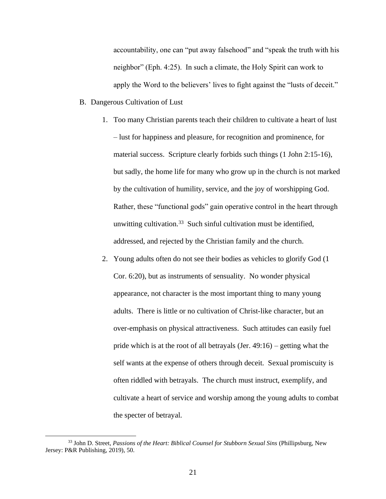accountability, one can "put away falsehood" and "speak the truth with his neighbor" (Eph. 4:25). In such a climate, the Holy Spirit can work to apply the Word to the believers' lives to fight against the "lusts of deceit."

- B. Dangerous Cultivation of Lust
	- 1. Too many Christian parents teach their children to cultivate a heart of lust – lust for happiness and pleasure, for recognition and prominence, for material success. Scripture clearly forbids such things (1 John 2:15-16), but sadly, the home life for many who grow up in the church is not marked by the cultivation of humility, service, and the joy of worshipping God. Rather, these "functional gods" gain operative control in the heart through unwitting cultivation.<sup>33</sup> Such sinful cultivation must be identified, addressed, and rejected by the Christian family and the church.
	- 2. Young adults often do not see their bodies as vehicles to glorify God (1 Cor. 6:20), but as instruments of sensuality. No wonder physical appearance, not character is the most important thing to many young adults. There is little or no cultivation of Christ-like character, but an over-emphasis on physical attractiveness. Such attitudes can easily fuel pride which is at the root of all betrayals (Jer. 49:16) – getting what the self wants at the expense of others through deceit. Sexual promiscuity is often riddled with betrayals. The church must instruct, exemplify, and cultivate a heart of service and worship among the young adults to combat the specter of betrayal.

<sup>33</sup> John D. Street, *Passions of the Heart: Biblical Counsel for Stubborn Sexual Sins* (Phillipsburg, New Jersey: P&R Publishing, 2019), 50.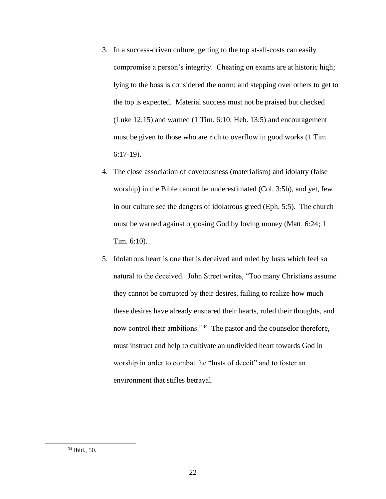- 3. In a success-driven culture, getting to the top at-all-costs can easily compromise a person's integrity. Cheating on exams are at historic high; lying to the boss is considered the norm; and stepping over others to get to the top is expected. Material success must not be praised but checked (Luke 12:15) and warned (1 Tim. 6:10; Heb. 13:5) and encouragement must be given to those who are rich to overflow in good works (1 Tim. 6:17-19).
- 4. The close association of covetousness (materialism) and idolatry (false worship) in the Bible cannot be underestimated (Col. 3:5b), and yet, few in our culture see the dangers of idolatrous greed (Eph. 5:5). The church must be warned against opposing God by loving money (Matt. 6:24; 1 Tim. 6:10).
- 5. Idolatrous heart is one that is deceived and ruled by lusts which feel so natural to the deceived. John Street writes, "Too many Christians assume they cannot be corrupted by their desires, failing to realize how much these desires have already ensnared their hearts, ruled their thoughts, and now control their ambitions."<sup>34</sup> The pastor and the counselor therefore, must instruct and help to cultivate an undivided heart towards God in worship in order to combat the "lusts of deceit" and to foster an environment that stifles betrayal.

<sup>34</sup> Ibid., 50.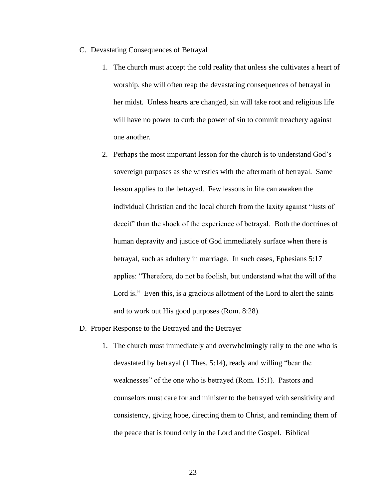- C. Devastating Consequences of Betrayal
	- 1. The church must accept the cold reality that unless she cultivates a heart of worship, she will often reap the devastating consequences of betrayal in her midst. Unless hearts are changed, sin will take root and religious life will have no power to curb the power of sin to commit treachery against one another.
	- 2. Perhaps the most important lesson for the church is to understand God's sovereign purposes as she wrestles with the aftermath of betrayal. Same lesson applies to the betrayed. Few lessons in life can awaken the individual Christian and the local church from the laxity against "lusts of deceit" than the shock of the experience of betrayal. Both the doctrines of human depravity and justice of God immediately surface when there is betrayal, such as adultery in marriage. In such cases, Ephesians 5:17 applies: "Therefore, do not be foolish, but understand what the will of the Lord is." Even this, is a gracious allotment of the Lord to alert the saints and to work out His good purposes (Rom. 8:28).
- D. Proper Response to the Betrayed and the Betrayer
	- 1. The church must immediately and overwhelmingly rally to the one who is devastated by betrayal (1 Thes. 5:14), ready and willing "bear the weaknesses" of the one who is betrayed (Rom. 15:1). Pastors and counselors must care for and minister to the betrayed with sensitivity and consistency, giving hope, directing them to Christ, and reminding them of the peace that is found only in the Lord and the Gospel. Biblical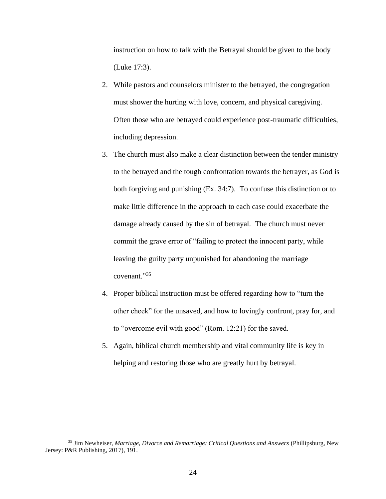instruction on how to talk with the Betrayal should be given to the body (Luke 17:3).

- 2. While pastors and counselors minister to the betrayed, the congregation must shower the hurting with love, concern, and physical caregiving. Often those who are betrayed could experience post-traumatic difficulties, including depression.
- 3. The church must also make a clear distinction between the tender ministry to the betrayed and the tough confrontation towards the betrayer, as God is both forgiving and punishing (Ex. 34:7). To confuse this distinction or to make little difference in the approach to each case could exacerbate the damage already caused by the sin of betrayal. The church must never commit the grave error of "failing to protect the innocent party, while leaving the guilty party unpunished for abandoning the marriage covenant."<sup>35</sup>
- 4. Proper biblical instruction must be offered regarding how to "turn the other cheek" for the unsaved, and how to lovingly confront, pray for, and to "overcome evil with good" (Rom. 12:21) for the saved.
- 5. Again, biblical church membership and vital community life is key in helping and restoring those who are greatly hurt by betrayal.

<sup>35</sup> Jim Newheiser, *Marriage, Divorce and Remarriage: Critical Questions and Answers* (Phillipsburg, New Jersey: P&R Publishing, 2017), 191.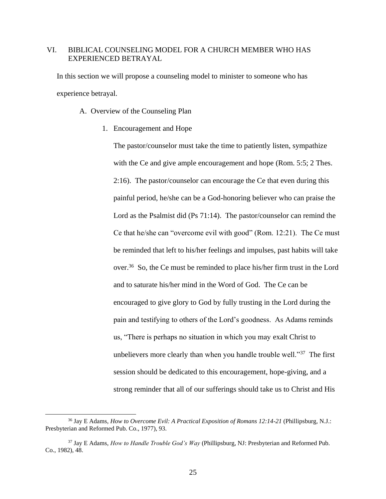# VI. BIBLICAL COUNSELING MODEL FOR A CHURCH MEMBER WHO HAS EXPERIENCED BETRAYAL

In this section we will propose a counseling model to minister to someone who has experience betrayal.

A. Overview of the Counseling Plan

1. Encouragement and Hope

The pastor/counselor must take the time to patiently listen, sympathize with the Ce and give ample encouragement and hope (Rom. 5:5; 2 Thes. 2:16). The pastor/counselor can encourage the Ce that even during this painful period, he/she can be a God-honoring believer who can praise the Lord as the Psalmist did (Ps 71:14). The pastor/counselor can remind the Ce that he/she can "overcome evil with good" (Rom. 12:21). The Ce must be reminded that left to his/her feelings and impulses, past habits will take over.<sup>36</sup> So, the Ce must be reminded to place his/her firm trust in the Lord and to saturate his/her mind in the Word of God. The Ce can be encouraged to give glory to God by fully trusting in the Lord during the pain and testifying to others of the Lord's goodness. As Adams reminds us, "There is perhaps no situation in which you may exalt Christ to unbelievers more clearly than when you handle trouble well."<sup>37</sup> The first session should be dedicated to this encouragement, hope-giving, and a strong reminder that all of our sufferings should take us to Christ and His

<sup>36</sup> Jay E Adams, *How to Overcome Evil: A Practical Exposition of Romans 12:14-21* (Phillipsburg, N.J.: Presbyterian and Reformed Pub. Co., 1977), 93.

<sup>37</sup> Jay E Adams, *How to Handle Trouble God's Way* (Phillipsburg, NJ: Presbyterian and Reformed Pub. Co., 1982), 48.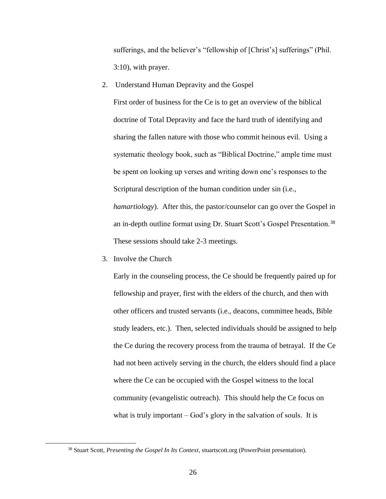sufferings, and the believer's "fellowship of [Christ's] sufferings" (Phil. 3:10), with prayer.

2. Understand Human Depravity and the Gospel

First order of business for the Ce is to get an overview of the biblical doctrine of Total Depravity and face the hard truth of identifying and sharing the fallen nature with those who commit heinous evil. Using a systematic theology book, such as "Biblical Doctrine," ample time must be spent on looking up verses and writing down one's responses to the Scriptural description of the human condition under sin (i.e., *hamartiology*). After this, the pastor/counselor can go over the Gospel in an in-depth outline format using Dr. Stuart Scott's Gospel Presentation.<sup>38</sup> These sessions should take 2-3 meetings.

3. Involve the Church

Early in the counseling process, the Ce should be frequently paired up for fellowship and prayer, first with the elders of the church, and then with other officers and trusted servants (i.e., deacons, committee heads, Bible study leaders, etc.). Then, selected individuals should be assigned to help the Ce during the recovery process from the trauma of betrayal. If the Ce had not been actively serving in the church, the elders should find a place where the Ce can be occupied with the Gospel witness to the local community (evangelistic outreach). This should help the Ce focus on what is truly important – God's glory in the salvation of souls. It is

<sup>38</sup> Stuart Scott, *Presenting the Gospel In Its Context*, stuartscott.org (PowerPoint presentation).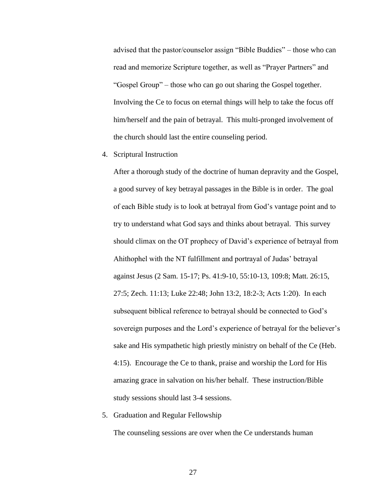advised that the pastor/counselor assign "Bible Buddies" – those who can read and memorize Scripture together, as well as "Prayer Partners" and "Gospel Group" – those who can go out sharing the Gospel together. Involving the Ce to focus on eternal things will help to take the focus off him/herself and the pain of betrayal. This multi-pronged involvement of the church should last the entire counseling period.

4. Scriptural Instruction

After a thorough study of the doctrine of human depravity and the Gospel, a good survey of key betrayal passages in the Bible is in order. The goal of each Bible study is to look at betrayal from God's vantage point and to try to understand what God says and thinks about betrayal. This survey should climax on the OT prophecy of David's experience of betrayal from Ahithophel with the NT fulfillment and portrayal of Judas' betrayal against Jesus (2 Sam. 15-17; Ps. 41:9-10, 55:10-13, 109:8; Matt. 26:15, 27:5; Zech. 11:13; Luke 22:48; John 13:2, 18:2-3; Acts 1:20). In each subsequent biblical reference to betrayal should be connected to God's sovereign purposes and the Lord's experience of betrayal for the believer's sake and His sympathetic high priestly ministry on behalf of the Ce (Heb. 4:15). Encourage the Ce to thank, praise and worship the Lord for His amazing grace in salvation on his/her behalf. These instruction/Bible study sessions should last 3-4 sessions.

5. Graduation and Regular Fellowship

The counseling sessions are over when the Ce understands human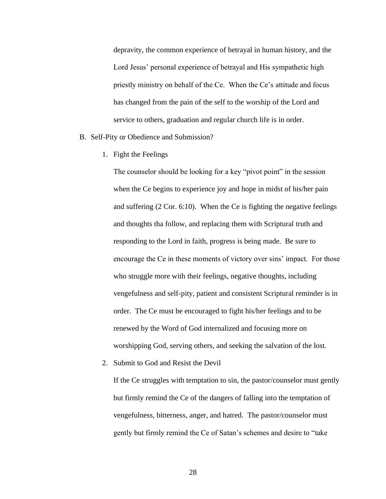depravity, the common experience of betrayal in human history, and the Lord Jesus' personal experience of betrayal and His sympathetic high priestly ministry on behalf of the Ce. When the Ce's attitude and focus has changed from the pain of the self to the worship of the Lord and service to others, graduation and regular church life is in order.

#### B. Self-Pity or Obedience and Submission?

1. Fight the Feelings

The counselor should be looking for a key "pivot point" in the session when the Ce begins to experience joy and hope in midst of his/her pain and suffering (2 Cor. 6:10). When the Ce is fighting the negative feelings and thoughts tha follow, and replacing them with Scriptural truth and responding to the Lord in faith, progress is being made. Be sure to encourage the Ce in these moments of victory over sins' impact. For those who struggle more with their feelings, negative thoughts, including vengefulness and self-pity, patient and consistent Scriptural reminder is in order. The Ce must be encouraged to fight his/her feelings and to be renewed by the Word of God internalized and focusing more on worshipping God, serving others, and seeking the salvation of the lost.

2. Submit to God and Resist the Devil

If the Ce struggles with temptation to sin, the pastor/counselor must gently but firmly remind the Ce of the dangers of falling into the temptation of vengefulness, bitterness, anger, and hatred. The pastor/counselor must gently but firmly remind the Ce of Satan's schemes and desire to "take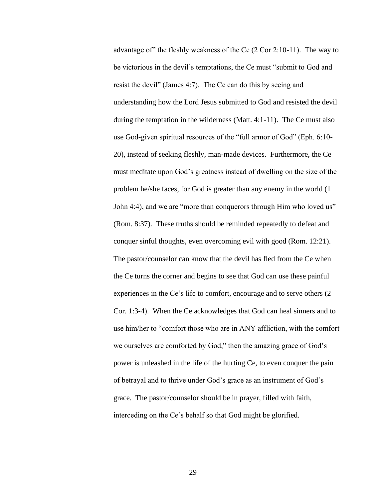advantage of" the fleshly weakness of the Ce (2 Cor 2:10-11). The way to be victorious in the devil's temptations, the Ce must "submit to God and resist the devil" (James 4:7). The Ce can do this by seeing and understanding how the Lord Jesus submitted to God and resisted the devil during the temptation in the wilderness (Matt. 4:1-11). The Ce must also use God-given spiritual resources of the "full armor of God" (Eph. 6:10- 20), instead of seeking fleshly, man-made devices. Furthermore, the Ce must meditate upon God's greatness instead of dwelling on the size of the problem he/she faces, for God is greater than any enemy in the world (1 John 4:4), and we are "more than conquerors through Him who loved us" (Rom. 8:37). These truths should be reminded repeatedly to defeat and conquer sinful thoughts, even overcoming evil with good (Rom. 12:21). The pastor/counselor can know that the devil has fled from the Ce when the Ce turns the corner and begins to see that God can use these painful experiences in the Ce's life to comfort, encourage and to serve others (2 Cor. 1:3-4). When the Ce acknowledges that God can heal sinners and to use him/her to "comfort those who are in ANY affliction, with the comfort we ourselves are comforted by God," then the amazing grace of God's power is unleashed in the life of the hurting Ce, to even conquer the pain of betrayal and to thrive under God's grace as an instrument of God's grace. The pastor/counselor should be in prayer, filled with faith, interceding on the Ce's behalf so that God might be glorified.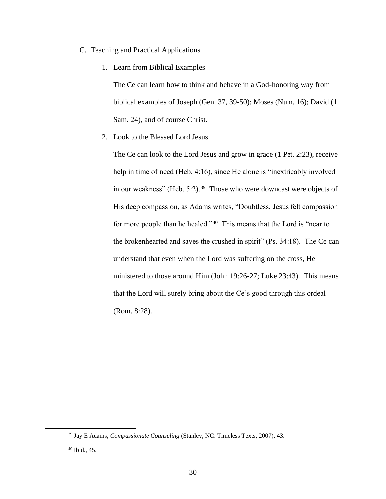- C. Teaching and Practical Applications
	- 1. Learn from Biblical Examples

The Ce can learn how to think and behave in a God-honoring way from biblical examples of Joseph (Gen. 37, 39-50); Moses (Num. 16); David (1 Sam. 24), and of course Christ.

2. Look to the Blessed Lord Jesus

The Ce can look to the Lord Jesus and grow in grace (1 Pet. 2:23), receive help in time of need (Heb. 4:16), since He alone is "inextricably involved in our weakness" (Heb.  $5:2$ ).<sup>39</sup> Those who were downcast were objects of His deep compassion, as Adams writes, "Doubtless, Jesus felt compassion for more people than he healed."<sup>40</sup> This means that the Lord is "near to the brokenhearted and saves the crushed in spirit" (Ps. 34:18). The Ce can understand that even when the Lord was suffering on the cross, He ministered to those around Him (John 19:26-27; Luke 23:43). This means that the Lord will surely bring about the Ce's good through this ordeal (Rom. 8:28).

<sup>39</sup> Jay E Adams, *Compassionate Counseling* (Stanley, NC: Timeless Texts, 2007), 43.

<sup>40</sup> Ibid., 45.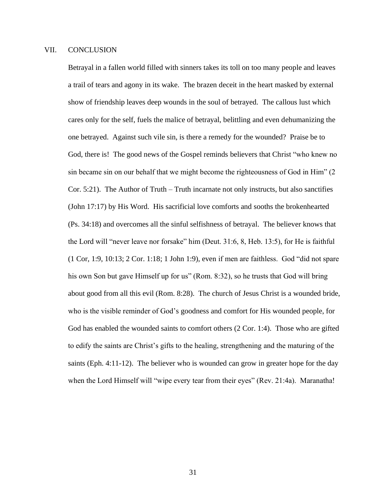#### VII. CONCLUSION

Betrayal in a fallen world filled with sinners takes its toll on too many people and leaves a trail of tears and agony in its wake. The brazen deceit in the heart masked by external show of friendship leaves deep wounds in the soul of betrayed. The callous lust which cares only for the self, fuels the malice of betrayal, belittling and even dehumanizing the one betrayed. Against such vile sin, is there a remedy for the wounded? Praise be to God, there is! The good news of the Gospel reminds believers that Christ "who knew no sin became sin on our behalf that we might become the righteousness of God in Him" (2 Cor. 5:21). The Author of Truth – Truth incarnate not only instructs, but also sanctifies (John 17:17) by His Word. His sacrificial love comforts and sooths the brokenhearted (Ps. 34:18) and overcomes all the sinful selfishness of betrayal. The believer knows that the Lord will "never leave nor forsake" him (Deut. 31:6, 8, Heb. 13:5), for He is faithful (1 Cor, 1:9, 10:13; 2 Cor. 1:18; 1 John 1:9), even if men are faithless. God "did not spare his own Son but gave Himself up for us" (Rom. 8:32), so he trusts that God will bring about good from all this evil (Rom. 8:28). The church of Jesus Christ is a wounded bride, who is the visible reminder of God's goodness and comfort for His wounded people, for God has enabled the wounded saints to comfort others (2 Cor. 1:4). Those who are gifted to edify the saints are Christ's gifts to the healing, strengthening and the maturing of the saints (Eph. 4:11-12). The believer who is wounded can grow in greater hope for the day when the Lord Himself will "wipe every tear from their eyes" (Rev. 21:4a). Maranatha!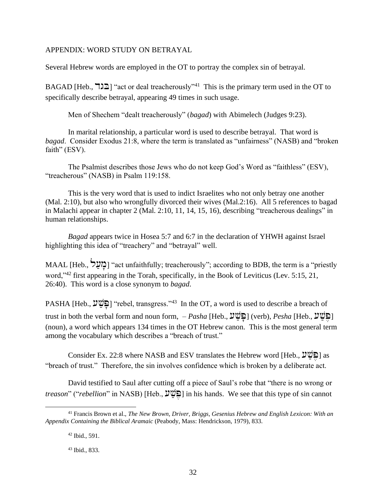#### APPENDIX: WORD STUDY ON BETRAYAL

Several Hebrew words are employed in the OT to portray the complex sin of betrayal.

BAGAD [Heb.,  $\Xi$ ] "act or deal treacherously"<sup>41</sup> This is the primary term used in the OT to specifically describe betrayal, appearing 49 times in such usage.

Men of Shechem "dealt treacherously" (*bagad*) with Abimelech (Judges 9:23).

In marital relationship, a particular word is used to describe betrayal. That word is *bagad*. Consider Exodus 21:8, where the term is translated as "unfairness" (NASB) and "broken faith" (ESV).

The Psalmist describes those Jews who do not keep God's Word as "faithless" (ESV), "treacherous" (NASB) in Psalm 119:158.

This is the very word that is used to indict Israelites who not only betray one another (Mal. 2:10), but also who wrongfully divorced their wives (Mal.2:16). All 5 references to bagad in Malachi appear in chapter 2 (Mal. 2:10, 11, 14, 15, 16), describing "treacherous dealings" in human relationships.

*Bagad* appears twice in Hosea 5:7 and 6:7 in the declaration of YHWH against Israel highlighting this idea of "treachery" and "betrayal" well.

MAAL [Heb., בְּוֹעֲל] "act unfaithfully; treacherously"; according to BDB, the term is a "priestly" word,"<sup>42</sup> first appearing in the Torah, specifically, in the Book of Leviticus (Lev. 5:15, 21, 26:40). This word is a close synonym to *bagad*.

PASHA [Heb., توقيق "rebel, transgress."<sup>43</sup> In the OT, a word is used to describe a breach of trust in both the verbal form and noun form, *– Pasha* [Heb.,  $\mathcal{V} \mathcal{C}$ ] (verb), *Pesha* [Heb.,  $\mathcal{V} \mathcal{C}$ ] (noun), a word which appears 134 times in the OT Hebrew canon. This is the most general term among the vocabulary which describes a "breach of trust."

Consider Ex. 22:8 where NASB and ESV translates the Hebrew word [Heb.,  $\mathcal{V} \mathcal{V} \mathcal{D}$ ] as "breach of trust." Therefore, the sin involves confidence which is broken by a deliberate act.

David testified to Saul after cutting off a piece of Saul's robe that "there is no wrong or *treason*" ("*rebellion*" in NASB) [Heb.,  $\mathcal{V}(\mathcal{V})$ ] in his hands. We see that this type of sin cannot

<sup>41</sup> Francis Brown et al., *The New Brown, Driver, Briggs, Gesenius Hebrew and English Lexicon: With an Appendix Containing the Biblical Aramaic* (Peabody, Mass: Hendrickson, 1979), 833.

<sup>42</sup> Ibid., 591.

<sup>43</sup> Ibid., 833.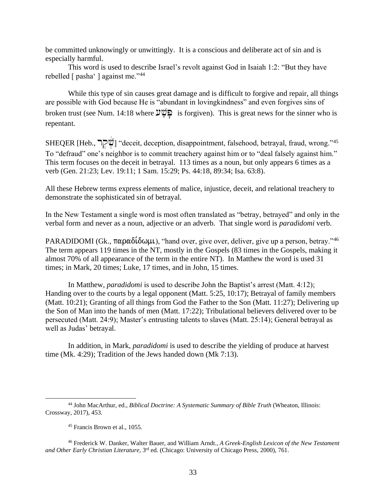be committed unknowingly or unwittingly. It is a conscious and deliberate act of sin and is especially harmful.

This word is used to describe Israel's revolt against God in Isaiah 1:2: "But they have rebelled [ pasha' ] against me."<sup>44</sup>

While this type of sin causes great damage and is difficult to forgive and repair, all things are possible with God because He is "abundant in lovingkindness" and even forgives sins of broken trust (see Num. 14:18 where  $\mathcal{V} \subseteq \mathbb{Q}$  is forgiven). This is great news for the sinner who is repentant.

SHEQER [Heb., שְׂקָר "deceit, deception, disappointment, falsehood, betrayal, fraud, wrong."45 To "defraud" one's neighbor is to commit treachery against him or to "deal falsely against him." This term focuses on the deceit in betrayal. 113 times as a noun, but only appears 6 times as a verb (Gen. 21:23; Lev. 19:11; 1 Sam. 15:29; Ps. 44:18, 89:34; Isa. 63:8).

All these Hebrew terms express elements of malice, injustice, deceit, and relational treachery to demonstrate the sophisticated sin of betrayal.

In the New Testament a single word is most often translated as "betray, betrayed" and only in the verbal form and never as a noun, adjective or an adverb. That single word is *paradidomi* verb.

PARADIDOMI (Gk.,  $\pi \alpha \rho \alpha \delta \delta \omega \mu \nu$ ), "hand over, give over, deliver, give up a person, betray."<sup>46</sup> The term appears 119 times in the NT, mostly in the Gospels (83 times in the Gospels, making it almost 70% of all appearance of the term in the entire NT). In Matthew the word is used 31 times; in Mark, 20 times; Luke, 17 times, and in John, 15 times.

In Matthew, *paradidomi* is used to describe John the Baptist's arrest (Matt. 4:12); Handing over to the courts by a legal opponent (Matt. 5:25, 10:17); Betrayal of family members (Matt. 10:21); Granting of all things from God the Father to the Son (Matt. 11:27); Delivering up the Son of Man into the hands of men (Matt. 17:22); Tribulational believers delivered over to be persecuted (Matt. 24:9); Master's entrusting talents to slaves (Matt. 25:14); General betrayal as well as Judas' betrayal.

In addition, in Mark, *paradidomi* is used to describe the yielding of produce at harvest time (Mk. 4:29); Tradition of the Jews handed down (Mk 7:13).

<sup>44</sup> John MacArthur, ed., *Biblical Doctrine: A Systematic Summary of Bible Truth* (Wheaton, Illinois: Crossway, 2017), 453.

<sup>45</sup> Francis Brown et al., 1055.

<sup>46</sup> Frederick W. Danker, Walter Bauer, and William Arndt., *A Greek-English Lexicon of the New Testament and Other Early Christian Literature,* 3 rd ed*.* (Chicago: University of Chicago Press, 2000), 761.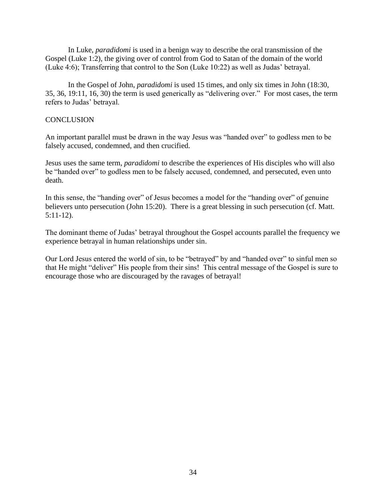In Luke, *paradidomi* is used in a benign way to describe the oral transmission of the Gospel (Luke 1:2), the giving over of control from God to Satan of the domain of the world (Luke 4:6); Transferring that control to the Son (Luke 10:22) as well as Judas' betrayal.

In the Gospel of John, *paradidomi* is used 15 times, and only six times in John (18:30, 35, 36, 19:11, 16, 30) the term is used generically as "delivering over." For most cases, the term refers to Judas' betrayal.

# **CONCLUSION**

An important parallel must be drawn in the way Jesus was "handed over" to godless men to be falsely accused, condemned, and then crucified.

Jesus uses the same term, *paradidomi* to describe the experiences of His disciples who will also be "handed over" to godless men to be falsely accused, condemned, and persecuted, even unto death.

In this sense, the "handing over" of Jesus becomes a model for the "handing over" of genuine believers unto persecution (John 15:20). There is a great blessing in such persecution (cf. Matt. 5:11-12).

The dominant theme of Judas' betrayal throughout the Gospel accounts parallel the frequency we experience betrayal in human relationships under sin.

Our Lord Jesus entered the world of sin, to be "betrayed" by and "handed over" to sinful men so that He might "deliver" His people from their sins! This central message of the Gospel is sure to encourage those who are discouraged by the ravages of betrayal!